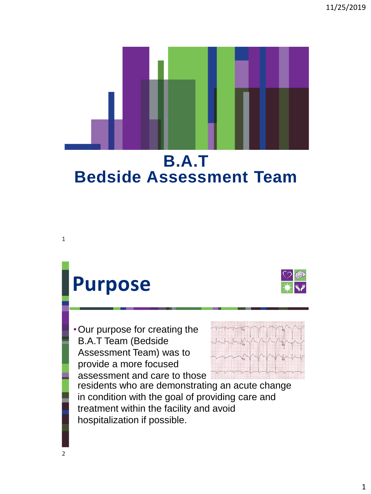

## **Purpose**

•Our purpose for creating the B.A.T Team (Bedside Assessment Team) was to provide a more focused assessment and care to those





residents who are demonstrating an acute change in condition with the goal of providing care and treatment within the facility and avoid hospitalization if possible.

1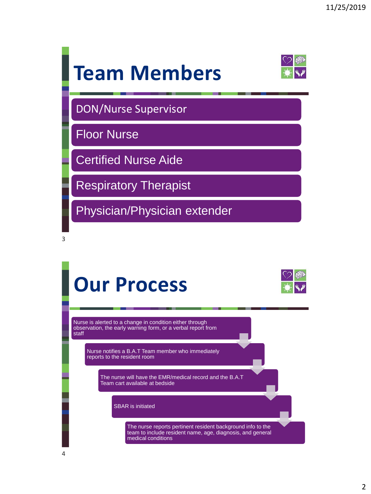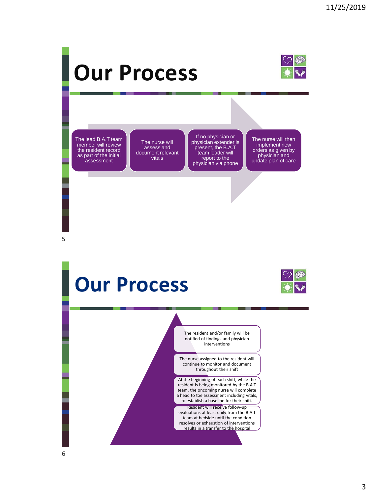